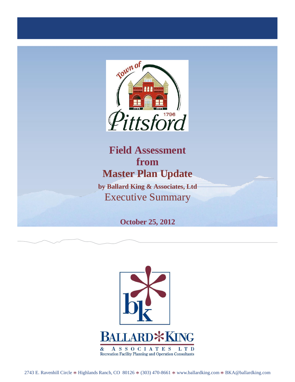

## **Field Assessment from Master Plan Update**

**by Ballard King & Associates, Ltd** Executive Summary

**October 25, 2012**



2743 E. Ravenhill Circle \* Highlands Ranch, CO 80126 \* (303) 470-8661 \* [www.ballardking.com](http://www.ballardking.com/) \* [BKA@ballardking.com](mailto:BKA@ballardking.com)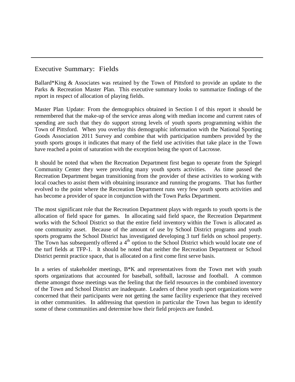## Executive Summary: Fields

Ballard\*King & Associates was retained by the Town of Pittsford to provide an update to the Parks & Recreation Master Plan. This executive summary looks to summarize findings of the report in respect of allocation of playing fields.

Master Plan Update: From the demographics obtained in Section I of this report it should be remembered that the make-up of the service areas along with median income and current rates of spending are such that they do support strong levels of youth sports programming within the Town of Pittsford. When you overlay this demographic information with the National Sporting Goods Association 2011 Survey and combine that with participation numbers provided by the youth sports groups it indicates that many of the field use activities that take place in the Town have reached a point of saturation with the exception being the sport of Lacrosse.

It should be noted that when the Recreation Department first began to operate from the Spiegel Community Center they were providing many youth sports activities. As time passed the Recreation Department began transitioning from the provider of these activities to working with local coaches to assist them with obtaining insurance and running the programs. That has further evolved to the point where the Recreation Department runs very few youth sports activities and has become a provider of space in conjunction with the Town Parks Department.

The most significant role that the Recreation Department plays with regards to youth sports is the allocation of field space for games. In allocating said field space, the Recreation Department works with the School District so that the entire field inventory within the Town is allocated as one community asset. Because of the amount of use by School District programs and youth sports programs the School District has investigated developing 3 turf fields on school property. The Town has subsequently offered a 4<sup>th</sup> option to the School District which would locate one of the turf fields at TFP-1. It should be noted that neither the Recreation Department or School District permit practice space, that is allocated on a first come first serve basis.

In a series of stakeholder meetings, B\*K and representatives from the Town met with youth sports organizations that accounted for baseball, softball, lacrosse and football. A common theme amongst those meetings was the feeling that the field resources in the combined inventory of the Town and School District are inadequate. Leaders of these youth sport organizations were concerned that their participants were not getting the same facility experience that they received in other communities. In addressing that question in particular the Town has begun to identify some of these communities and determine how their field projects are funded.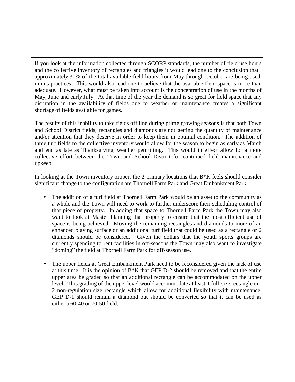If you look at the information collected through SCORP standards, the number of field use hours and the collective inventory of rectangles and triangles it would lead one to the conclusion that approximately 30% of the total available field hours from May through October are being used, minus practices. This would also lead one to believe that the available field space is more than adequate. However, what must be taken into account is the concentration of use in the months of May, June and early July. At that time of the year the demand is so great for field space that any disruption in the availability of fields due to weather or maintenance creates a significant shortage of fields available for games.

The results of this inability to take fields off line during prime growing seasons is that both Town and School District fields, rectangles and diamonds are not getting the quantity of maintenance and/or attention that they deserve in order to keep them in optimal condition. The addition of three turf fields to the collective inventory would allow for the season to begin as early as March and end as late as Thanksgiving, weather permitting. This would in effect allow for a more collective effort between the Town and School District for continued field maintenance and upkeep.

In looking at the Town inventory proper, the 2 primary locations that  $B*K$  feels should consider significant change to the configuration are Thornell Farm Park and Great Embankment Park.

- The addition of a turf field at Thornell Farm Park would be an asset to the community as a whole and the Town will need to work to further underscore their scheduling control of that piece of property. In adding that space to Thornell Farm Park the Town may also want to look at Master Planning that property to ensure that the most efficient use of space is being achieved. Moving the remaining rectangles and diamonds to more of an enhanced playing surface or an additional turf field that could be used as a rectangle or 2 diamonds should be considered. Given the dollars that the youth sports groups are currently spending to rent facilities in off-seasons the Town may also want to investigate "doming" the field at Thornell Farm Park for off-season use.
- The upper fields at Great Embankment Park need to be reconsidered given the lack of use at this time. It is the opinion of  $B*K$  that GEP D-2 should be removed and that the entire upper area be graded so that an additional rectangle can be accommodated on the upper level. This grading of the upper level would accommodate at least 1 full-size rectangle or 2 non-regulation size rectangle which allow for additional flexibility with maintenance. GEP D-1 should remain a diamond but should be converted so that it can be used as either a 60-40 or 70-50 field.